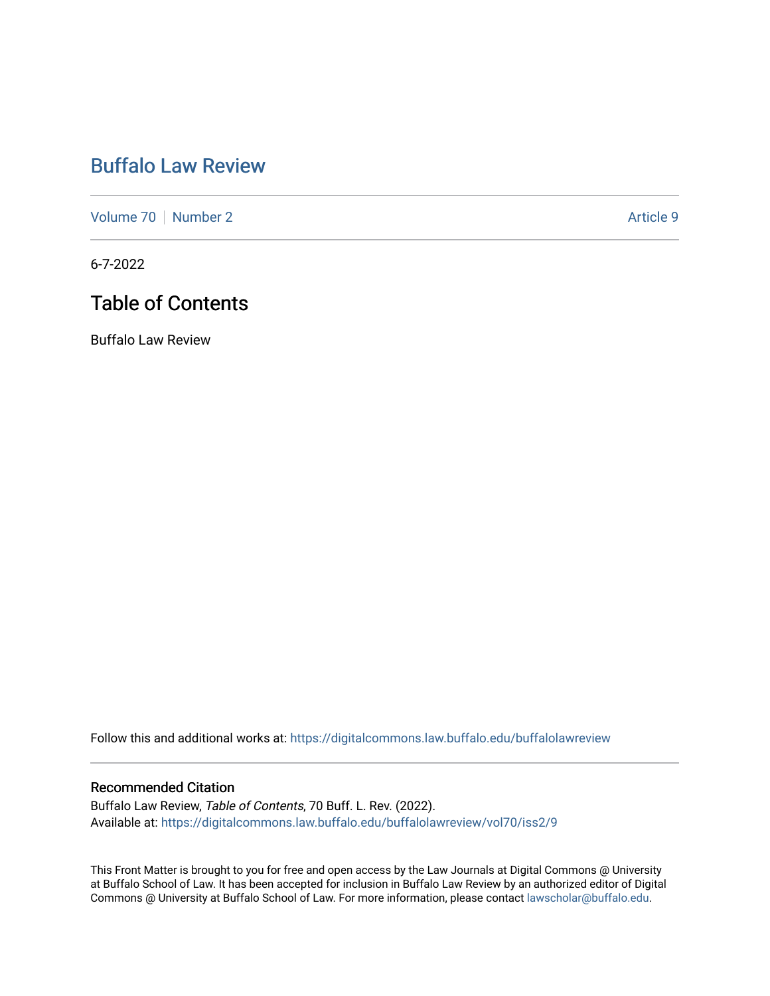# [Buffalo Law Review](https://digitalcommons.law.buffalo.edu/buffalolawreview)

[Volume 70](https://digitalcommons.law.buffalo.edu/buffalolawreview/vol70) [Number 2](https://digitalcommons.law.buffalo.edu/buffalolawreview/vol70/iss2) Article 9

6-7-2022

## Table of Contents

Buffalo Law Review

Follow this and additional works at: [https://digitalcommons.law.buffalo.edu/buffalolawreview](https://digitalcommons.law.buffalo.edu/buffalolawreview?utm_source=digitalcommons.law.buffalo.edu%2Fbuffalolawreview%2Fvol70%2Fiss2%2F9&utm_medium=PDF&utm_campaign=PDFCoverPages) 

### Recommended Citation

Buffalo Law Review, Table of Contents, 70 Buff. L. Rev. (2022). Available at: [https://digitalcommons.law.buffalo.edu/buffalolawreview/vol70/iss2/9](https://digitalcommons.law.buffalo.edu/buffalolawreview/vol70/iss2/9?utm_source=digitalcommons.law.buffalo.edu%2Fbuffalolawreview%2Fvol70%2Fiss2%2F9&utm_medium=PDF&utm_campaign=PDFCoverPages) 

This Front Matter is brought to you for free and open access by the Law Journals at Digital Commons @ University at Buffalo School of Law. It has been accepted for inclusion in Buffalo Law Review by an authorized editor of Digital Commons @ University at Buffalo School of Law. For more information, please contact [lawscholar@buffalo.edu](mailto:lawscholar@buffalo.edu).